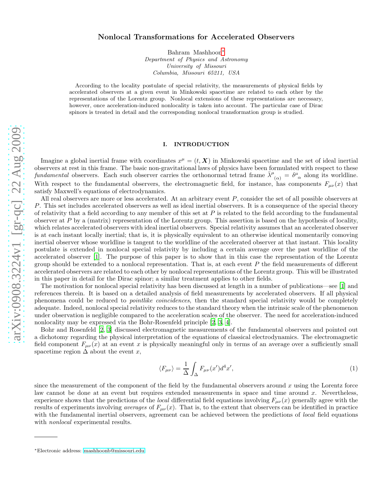# Nonlocal Transformations for Accelerated Observers

Bahram Mashhoon[∗](#page-0-0) Department of Physics and Astronomy University of Missouri Columbia, Missouri 65211, USA

According to the locality postulate of special relativity, the measurements of physical fields by accelerated observers at a given event in Minkowski spacetime are related to each other by the representations of the Lorentz group. Nonlocal extensions of these representations are necessary, however, once acceleration-induced nonlocality is taken into account. The particular case of Dirac spinors is treated in detail and the corresponding nonlocal transformation group is studied.

### I. INTRODUCTION

Imagine a global inertial frame with coordinates  $x^{\mu} = (t, \mathbf{X})$  in Minkowski spacetime and the set of ideal inertial observers at rest in this frame. The basic non-gravitational laws of physics have been formulated with respect to these fundamental observers. Each such observer carries the orthonormal tetrad frame  $\bar{\lambda}^{\mu}{}_{(\alpha)} = \delta^{\mu}{}_{\alpha}$  along its worldline. With respect to the fundamental observers, the electromagnetic field, for instance, has components  $F_{\mu\nu}(x)$  that satisfy Maxwell's equations of electrodynamics.

All real observers are more or less accelerated. At an arbitrary event  $P$ , consider the set of all possible observers at P. This set includes accelerated observers as well as ideal inertial observers. It is a consequence of the special theory of relativity that a field according to any member of this set at  $P$  is related to the field according to the fundamental observer at  $P$  by a (matrix) representation of the Lorentz group. This assertion is based on the hypothesis of locality, which relates accelerated observers with ideal inertial observers. Special relativity assumes that an accelerated observer is at each instant locally inertial; that is, it is physically equivalent to an otherwise identical momentarily comoving inertial observer whose worldline is tangent to the worldline of the accelerated observer at that instant. This locality postulate is extended in nonlocal special relativity by including a certain average over the past worldline of the accelerated observer [\[1](#page-6-0)]. The purpose of this paper is to show that in this case the representation of the Lorentz group should be extended to a nonlocal representation. That is, at each event  $P$  the field measurements of different accelerated observers are related to each other by nonlocal representations of the Lorentz group. This will be illustrated in this paper in detail for the Dirac spinor; a similar treatment applies to other fields.

The motivation for nonlocal special relativity has been discussed at length in a number of publications—see [\[1](#page-6-0)] and references therein. It is based on a detailed analysis of field measurements by accelerated observers. If all physical phenomena could be reduced to pointlike coincidences, then the standard special relativity would be completely adequate. Indeed, nonlocal special relativity reduces to the standard theory when the intrinsic scale of the phenomenon under observation is negligible compared to the acceleration scales of the observer. The need for acceleration-induced nonlocality may be expressed via the Bohr-Rosenfeld principle [\[2](#page-6-1), [3](#page-6-2), [4\]](#page-6-3).

Bohr and Rosenfeld [\[2](#page-6-1), [3\]](#page-6-2) discussed electromagnetic measurements of the fundamental observers and pointed out a dichotomy regarding the physical interpretation of the equations of classical electrodynamics. The electromagnetic field component  $F_{\mu\nu}(x)$  at an event x is physically meaningful only in terms of an average over a sufficiently small spacetime region  $\Delta$  about the event x,

<span id="page-0-1"></span>
$$
\langle F_{\mu\nu} \rangle = \frac{1}{\Delta} \int_{\Delta} F_{\mu\nu}(x') d^4 x', \tag{1}
$$

since the measurement of the component of the field by the fundamental observers around  $x$  using the Lorentz force law cannot be done at an event but requires extended measurements in space and time around  $x$ . Nevertheless, experience shows that the predictions of the *local* differential field equations involving  $F_{\mu\nu}(x)$  generally agree with the results of experiments involving averages of  $F_{\mu\nu}(x)$ . That is, to the extent that observers can be identified in practice with the fundamental inertial observers, agreement can be achieved between the predictions of *local* field equations with *nonlocal* experimental results.

<span id="page-0-0"></span><sup>∗</sup>Electronic address: [mashhoonb@missouri.edu](mailto:mashhoonb@missouri.edu)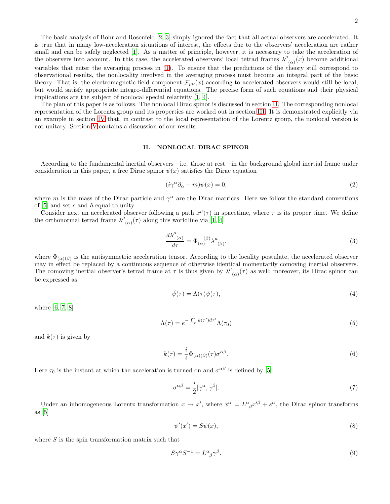The basic analysis of Bohr and Rosenfeld [\[2](#page-6-1), [3](#page-6-2)] simply ignored the fact that all actual observers are accelerated. It is true that in many low-acceleration situations of interest, the effects due to the observers' acceleration are rather small and can be safely neglected [\[1\]](#page-6-0). As a matter of principle, however, it is necessary to take the acceleration of the observers into account. In this case, the accelerated observers' local tetrad frames  $\lambda^{\mu}$  $\chi_{(\alpha)}(x)$  become additional variables that enter the averaging process in [\(1\)](#page-0-1). To ensure that the predictions of the theory still correspond to observational results, the nonlocality involved in the averaging process must become an integral part of the basic theory. That is, the electromagnetic field component  $\mathcal{F}_{\mu\nu}(x)$  according to accelerated observers would still be local, but would satisfy appropriate integro-differential equations. The precise form of such equations and their physical implications are the subject of nonlocal special relativity [\[1](#page-6-0), [4\]](#page-6-3).

The plan of this paper is as follows. The nonlocal Dirac spinor is discussed in section [II.](#page-1-0) The corresponding nonlocal representation of the Lorentz group and its properties are worked out in section [III.](#page-3-0) It is demonstrated explicitly via an example in section [IV](#page-5-0) that, in contrast to the local representation of the Lorentz group, the nonlocal version is not unitary. Section [V](#page-6-4) contains a discussion of our results.

## <span id="page-1-0"></span>II. NONLOCAL DIRAC SPINOR

According to the fundamental inertial observers—i.e. those at rest—in the background global inertial frame under consideration in this paper, a free Dirac spinor  $\psi(x)$  satisfies the Dirac equation

<span id="page-1-8"></span>
$$
(i\gamma^{\alpha}\partial_{\alpha} - m)\psi(x) = 0,\t\t(2)
$$

where m is the mass of the Dirac particle and  $\gamma^{\alpha}$  are the Dirac matrices. Here we follow the standard conventions of  $[5]$  and set c and  $\hbar$  equal to unity.

Consider next an accelerated observer following a path  $x^{\mu}(\tau)$  in spacetime, where  $\tau$  is its proper time. We define the orthonormal tetrad frame  $\lambda^{\mu}$  $\mathcal{L}_{(\alpha)}(\tau)$  along this worldline via [\[1,](#page-6-0) [4\]](#page-6-3)

<span id="page-1-6"></span>
$$
\frac{d\lambda^{\mu}_{\ (\alpha)}}{d\tau} = \Phi_{(\alpha)}^{\ (\beta)}\lambda^{\mu}_{\ (\beta)},\tag{3}
$$

where  $\Phi_{(\alpha)(\beta)}$  is the antisymmetric acceleration tensor. According to the locality postulate, the accelerated observer may in effect be replaced by a continuous sequence of otherwise identical momentarily comoving inertial observers. The comoving inertial observer's tetrad frame at  $\tau$  is thus given by  $\lambda^{\mu}$  $\mathcal{L}_{(\alpha)}(\tau)$  as well; moreover, its Dirac spinor can be expressed as

<span id="page-1-3"></span>
$$
\hat{\psi}(\tau) = \Lambda(\tau)\psi(\tau),\tag{4}
$$

where [\[6,](#page-7-1) [7,](#page-7-2) [8\]](#page-7-3)

<span id="page-1-7"></span>
$$
\Lambda(\tau) = e^{-\int_{\tau_0}^{\tau} k(\tau')d\tau'} \Lambda(\tau_0)
$$
\n(5)

and  $k(\tau)$  is given by

<span id="page-1-5"></span>
$$
k(\tau) = \frac{i}{4} \Phi_{(\alpha)(\beta)}(\tau) \sigma^{\alpha\beta}.
$$
\n(6)

Here  $\tau_0$  is the instant at which the acceleration is turned on and  $\sigma^{\alpha\beta}$  is defined by [\[5](#page-7-0)]

<span id="page-1-4"></span>
$$
\sigma^{\alpha\beta} = \frac{i}{2} [\gamma^{\alpha}, \gamma^{\beta}]. \tag{7}
$$

Under an inhomogeneous Lorentz transformation  $x \to x'$ , where  $x^{\alpha} = L^{\alpha}_{\beta} x'^{\beta} + s^{\alpha}$ , the Dirac spinor transforms as [\[5](#page-7-0)]

<span id="page-1-1"></span>
$$
\psi'(x') = S\psi(x),\tag{8}
$$

where  $S$  is the spin transformation matrix such that

<span id="page-1-2"></span>
$$
S\gamma^{\alpha}S^{-1} = L^{\alpha}{}_{\beta}\gamma^{\beta}.
$$
\n(9)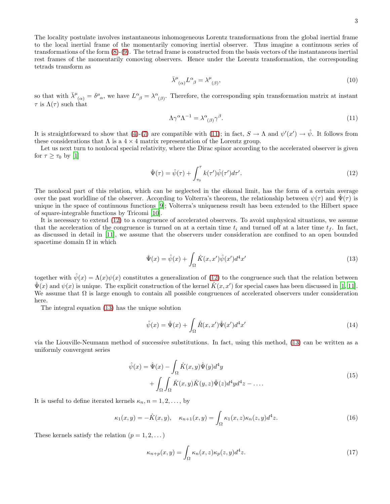The locality postulate involves instantaneous inhomogeneous Lorentz transformations from the global inertial frame to the local inertial frame of the momentarily comoving inertial observer. Thus imagine a continuous series of transformations of the form [\(8\)](#page-1-1)-[\(9\)](#page-1-2). The tetrad frame is constructed from the basis vectors of the instantaneous inertial rest frames of the momentarily comoving observers. Hence under the Lorentz transformation, the corresponding tetrads transform as

$$
\bar{\lambda}^{\mu}{}_{(\alpha)}L^{\alpha}{}_{\beta} = \lambda^{\mu}{}_{(\beta)},\tag{10}
$$

so that with  $\bar{\lambda}^{\mu}_{(\alpha)} = \delta^{\mu}_{\alpha}$ , we have  $L^{\alpha}_{\ \beta} = \lambda^{\alpha}_{(\beta)}$ . Therefore, the corresponding spin transformation matrix at instant  $\tau$  is  $\Lambda(\tau)$  such that

<span id="page-2-0"></span>
$$
\Lambda \gamma^{\alpha} \Lambda^{-1} = \lambda^{\alpha}{}_{(\beta)} \gamma^{\beta}.
$$
\n(11)

It is straightforward to show that [\(4\)](#page-1-3)-[\(7\)](#page-1-4) are compatible with [\(11\)](#page-2-0); in fact,  $S \to \Lambda$  and  $\psi'(x') \to \hat{\psi}$ . It follows from these considerations that  $\Lambda$  is a  $4 \times 4$  matrix representation of the Lorentz group.

Let us next turn to nonlocal special relativity, where the Dirac spinor according to the accelerated observer is given for  $\tau \geq \tau_0$  by [\[1\]](#page-6-0)

<span id="page-2-1"></span>
$$
\hat{\Psi}(\tau) = \hat{\psi}(\tau) + \int_{\tau_0}^{\tau} k(\tau')\hat{\psi}(\tau')d\tau'.\tag{12}
$$

The nonlocal part of this relation, which can be neglected in the eikonal limit, has the form of a certain average over the past worldline of the observer. According to Volterra's theorem, the relationship between  $\psi(\tau)$  and  $\Psi(\tau)$  is unique in the space of continuous functions [\[9\]](#page-7-4); Volterra's uniqueness result has been extended to the Hilbert space of square-integrable functions by Tricomi [\[10](#page-7-5)].

It is necessary to extend [\(12\)](#page-2-1) to a congruence of accelerated observers. To avoid unphysical situations, we assume that the acceleration of the congruence is turned on at a certain time  $t_i$  and turned off at a later time  $t_f$ . In fact, as discussed in detail in [\[11\]](#page-7-6), we assume that the observers under consideration are confined to an open bounded spacetime domain  $\Omega$  in which

<span id="page-2-2"></span>
$$
\hat{\Psi}(x) = \hat{\psi}(x) + \int_{\Omega} \hat{K}(x, x') \hat{\psi}(x') d^4 x'
$$
\n(13)

together with  $\hat{\psi}(x) = \Lambda(x)\psi(x)$  constitutes a generalization of [\(12\)](#page-2-1) to the congruence such that the relation between  $\hat{\Psi}(x)$  and  $\psi(x)$  is unique. The explicit construction of the kernel  $\hat{K}(x, x')$  for special cases has been discussed in [\[1](#page-6-0), [11\]](#page-7-6). We assume that  $\Omega$  is large enough to contain all possible congruences of accelerated observers under consideration here.

The integral equation [\(13\)](#page-2-2) has the unique solution

<span id="page-2-4"></span>
$$
\hat{\psi}(x) = \hat{\Psi}(x) + \int_{\Omega} \hat{R}(x, x') \hat{\Psi}(x') d^4 x'
$$
\n(14)

via the Liouville-Neumann method of successive substitutions. In fact, using this method, [\(13\)](#page-2-2) can be written as a uniformly convergent series

$$
\hat{\psi}(x) = \hat{\Psi}(x) - \int_{\Omega} \hat{K}(x, y)\hat{\Psi}(y)d^4y
$$
  
+ 
$$
\int_{\Omega} \int_{\Omega} \hat{K}(x, y)\hat{K}(y, z)\hat{\Psi}(z)d^4yd^4z - \dots
$$
 (15)

It is useful to define iterated kernels  $\kappa_n, n = 1, 2, \ldots$ , by

<span id="page-2-3"></span>
$$
\kappa_1(x,y) = -\hat{K}(x,y), \quad \kappa_{n+1}(x,y) = \int_{\Omega} \kappa_1(x,z)\kappa_n(z,y)d^4z.
$$
 (16)

These kernels satisfy the relation  $(p = 1, 2, ...)$ 

$$
\kappa_{n+p}(x,y) = \int_{\Omega} \kappa_n(x,z)\kappa_p(z,y)d^4z.
$$
\n(17)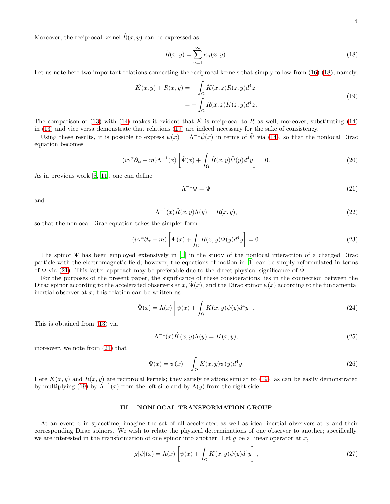Moreover, the reciprocal kernel  $\hat{R}(x, y)$  can be expressed as

<span id="page-3-1"></span>
$$
\hat{R}(x,y) = \sum_{n=1}^{\infty} \kappa_n(x,y). \tag{18}
$$

<span id="page-3-2"></span>Let us note here two important relations connecting the reciprocal kernels that simply follow from [\(16\)](#page-2-3)-[\(18\)](#page-3-1), namely,

$$
\hat{K}(x,y) + \hat{R}(x,y) = -\int_{\Omega} \hat{K}(x,z)\hat{R}(z,y)d^4z
$$

$$
= -\int_{\Omega} \hat{R}(x,z)\hat{K}(z,y)d^4z.
$$
\n(19)

The comparison of [\(13\)](#page-2-2) with [\(14\)](#page-2-4) makes it evident that K is reciprocal to R as well; moreover, substituting (14) in [\(13\)](#page-2-2) and vice versa demonstrate that relations [\(19\)](#page-3-2) are indeed necessary for the sake of consistency.

Using these results, it is possible to express  $\psi(x) = \Lambda^{-1} \hat{\psi}(x)$  in terms of  $\hat{\Psi}$  via [\(14\)](#page-2-4), so that the nonlocal Dirac equation becomes

$$
(i\gamma^{\alpha}\partial_{\alpha} - m)\Lambda^{-1}(x)\left[\hat{\Psi}(x) + \int_{\Omega}\hat{R}(x,y)\hat{\Psi}(y)d^4y\right] = 0.
$$
\n(20)

As in previous work [\[8](#page-7-3), [11](#page-7-6)], one can define

<span id="page-3-3"></span>
$$
\Lambda^{-1}\hat{\Psi} = \Psi \tag{21}
$$

and

$$
\Lambda^{-1}(x)\hat{R}(x,y)\Lambda(y) = R(x,y),\tag{22}
$$

so that the nonlocal Dirac equation takes the simpler form

$$
(i\gamma^{\alpha}\partial_{\alpha} - m) \left[ \Psi(x) + \int_{\Omega} R(x, y) \Psi(y) d^4 y \right] = 0.
$$
 (23)

The spinor  $\Psi$  has been employed extensively in [\[1\]](#page-6-0) in the study of the nonlocal interaction of a charged Dirac particle with the electromagnetic field; however, the equations of motion in [\[1](#page-6-0)] can be simply reformulated in terms of  $\hat{\Psi}$  via [\(21\)](#page-3-3). This latter approach may be preferable due to the direct physical significance of  $\hat{\Psi}$ .

For the purposes of the present paper, the significance of these considerations lies in the connection between the Dirac spinor according to the accelerated observers at x,  $\Psi(x)$ , and the Dirac spinor  $\psi(x)$  according to the fundamental inertial observer at  $x$ ; this relation can be written as

<span id="page-3-4"></span>
$$
\hat{\Psi}(x) = \Lambda(x) \left[ \psi(x) + \int_{\Omega} K(x, y) \psi(y) d^4 y \right]. \tag{24}
$$

This is obtained from [\(13\)](#page-2-2) via

$$
\Lambda^{-1}(x)\hat{K}(x,y)\Lambda(y) = K(x,y); \tag{25}
$$

moreover, we note from [\(21\)](#page-3-3) that

$$
\Psi(x) = \psi(x) + \int_{\Omega} K(x, y)\psi(y)d^4y.
$$
\n(26)

Here  $K(x, y)$  and  $R(x, y)$  are reciprocal kernels; they satisfy relations similar to [\(19\)](#page-3-2), as can be easily demonstrated by multiplying [\(19\)](#page-3-2) by  $\Lambda^{-1}(x)$  from the left side and by  $\Lambda(y)$  from the right side.

#### <span id="page-3-0"></span>III. NONLOCAL TRANSFORMATION GROUP

At an event  $x$  in spacetime, imagine the set of all accelerated as well as ideal inertial observers at  $x$  and their corresponding Dirac spinors. We wish to relate the physical determinations of one observer to another; specifically, we are interested in the transformation of one spinor into another. Let q be a linear operator at x,

<span id="page-3-5"></span>
$$
g[\psi](x) = \Lambda(x) \left[ \psi(x) + \int_{\Omega} K(x, y) \psi(y) d^4 y \right], \tag{27}
$$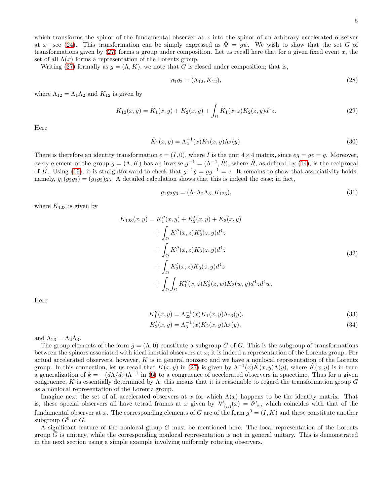which transforms the spinor of the fundamental observer at  $x$  into the spinor of an arbitrary accelerated observer at x—see [\(24\)](#page-3-4). This transformation can be simply expressed as  $\Psi = g\psi$ . We wish to show that the set G of transformations given by  $(27)$  forms a group under composition. Let us recall here that for a given fixed event x, the set of all  $\Lambda(x)$  forms a representation of the Lorentz group.

Writing [\(27\)](#page-3-5) formally as  $g = (\Lambda, K)$ , we note that G is closed under composition; that is,

$$
g_1 g_2 = (\Lambda_{12}, K_{12}), \tag{28}
$$

where  $\Lambda_{12} = \Lambda_1 \Lambda_2$  and  $K_{12}$  is given by

$$
K_{12}(x,y) = \tilde{K}_1(x,y) + K_2(x,y) + \int_{\Omega} \tilde{K}_1(x,z)K_2(z,y)d^4z.
$$
 (29)

Here

$$
\tilde{K}_1(x,y) = \Lambda_2^{-1}(x) K_1(x,y) \Lambda_2(y).
$$
\n(30)

There is therefore an identity transformation  $e = (I, 0)$ , where I is the unit  $4 \times 4$  matrix, since  $eg = ge = g$ . Moreover, every element of the group  $g = (\Lambda, K)$  has an inverse  $g^{-1} = (\Lambda^{-1}, \hat{R})$ , where  $\hat{R}$ , as defined by [\(14\)](#page-2-4), is the reciprocal of  $\hat{K}$ . Using [\(19\)](#page-3-2), it is straightforward to check that  $g^{-1}g = gg^{-1} = e$ . It remains to show that associativity holds, namely,  $g_1(g_2g_3) = (g_1g_2)g_3$ . A detailed calculation shows that this is indeed the case; in fact,

$$
g_1 g_2 g_3 = (\Lambda_1 \Lambda_2 \Lambda_3, K_{123}), \tag{31}
$$

where  $K_{123}$  is given by

$$
K_{123}(x,y) = K''_1(x,y) + K'_2(x,y) + K_3(x,y)
$$
  
+  $\int_{\Omega} K''_1(x,z)K'_2(z,y)d^4z$   
+  $\int_{\Omega} K''_1(x,z)K_3(z,y)d^4z$   
+  $\int_{\Omega} K'_2(x,z)K_3(z,y)d^4z$   
+  $\int_{\Omega} \int_{\Omega} K''_1(x,z)K'_2(z,w)K_3(w,y)d^4zd^4w$ . (32)

Here

$$
K_1''(x,y) = \Lambda_{23}^{-1}(x)K_1(x,y)\Lambda_{23}(y),\tag{33}
$$

$$
K_2'(x,y) = \Lambda_3^{-1}(x)K_2(x,y)\Lambda_3(y),\tag{34}
$$

and  $\Lambda_{23} = \Lambda_2 \Lambda_3$ .

The group elements of the form  $\bar{g} = (\Lambda, 0)$  constitute a subgroup  $\bar{G}$  of G. This is the subgroup of transformations between the spinors associated with ideal inertial observers at x; it is indeed a representation of the Lorentz group. For actual accelerated observers, however,  $K$  is in general nonzero and we have a nonlocal representation of the Lorentz group. In this connection, let us recall that  $K(x, y)$  in [\(27\)](#page-3-5) is given by  $\Lambda^{-1}(x)\hat{K}(x, y)\Lambda(y)$ , where  $\hat{K}(x, y)$  is in turn a generalization of  $k = -(d\Lambda/d\tau)\Lambda^{-1}$  in [\(6\)](#page-1-5) to a congruence of accelerated observers in spacetime. Thus for a given congruence, K is essentially determined by  $\Lambda$ ; this means that it is reasonable to regard the transformation group G as a nonlocal representation of the Lorentz group.

Imagine next the set of all accelerated observers at x for which  $\Lambda(x)$  happens to be the identity matrix. That is, these special observers all have tetrad frames at x given by  $\lambda^{\mu}$  $\chi_{(\alpha)}(x) = \delta^{\mu}_{\alpha}$ , which coincides with that of the fundamental observer at x. The corresponding elements of G are of the form  $g^0 = (I, K)$  and these constitute another subgroup  $G^0$  of  $G$ .

A significant feature of the nonlocal group G must be mentioned here: The local representation of the Lorentz group  $\bar{G}$  is unitary, while the corresponding nonlocal representation is not in general unitary. This is demonstrated in the next section using a simple example involving uniformly rotating observers.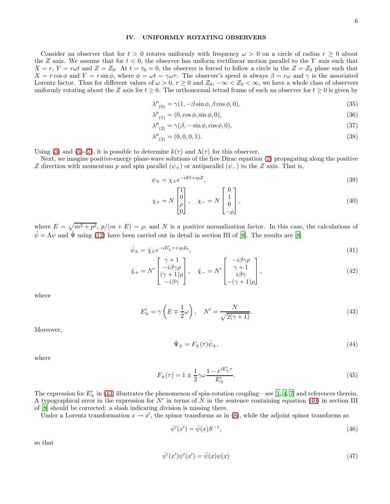### <span id="page-5-0"></span>IV. UNIFORMLY ROTATING OBSERVERS

Consider an observer that for  $t > 0$  rotates uniformly with frequency  $\omega > 0$  on a circle of radius  $r \geq 0$  about the Z axis. We assume that for  $t < 0$ , the observer has uniform rectilinear motion parallel to the Y axis such that  $X = r$ ,  $Y = r\omega t$  and  $Z = Z_0$ . At  $t = \tau_0 = 0$ , the observer is forced to follow a circle in the  $Z = Z_0$  plane such that  $X = r \cos \phi$  and  $Y = r \sin \phi$ , where  $\phi = \omega t = \gamma \omega \tau$ . The observer's speed is always  $\beta = r \omega$  and  $\gamma$  is the associated Lorentz factor. Thus for different values of  $\omega > 0$ ,  $r \ge 0$  and  $Z_0$ ,  $-\infty < Z_0 < \infty$ , we have a whole class of observers uniformly rotating about the Z axis for  $t \geq 0$ . The orthonormal tetrad frame of such an observer for  $t \geq 0$  is given by

$$
\lambda^{\mu}_{(0)} = \gamma(1, -\beta \sin \phi, \beta \cos \phi, 0), \qquad (35)
$$

$$
\lambda^{\mu}_{(1)} = (0, \cos \phi, \sin \phi, 0), \tag{36}
$$

$$
\lambda^{\mu}_{(2)} = \gamma(\beta, -\sin\phi, \cos\phi, 0),\tag{37}
$$

$$
\lambda^{\mu}_{(3)} = (0, 0, 0, 1). \tag{38}
$$

Using [\(3\)](#page-1-6) and [\(5\)](#page-1-7)-[\(7\)](#page-1-4), it is possible to determine  $k(\tau)$  and  $\Lambda(\tau)$  for this observer.

Next, we imagine positive-energy plane-wave solutions of the free Dirac equation [\(2\)](#page-1-8) propagating along the positive Z direction with momentum p and spin parallel  $(\psi_+)$  or antiparallel  $(\psi_-)$  to the Z axis. That is,

$$
\psi_{\pm} = \chi_{\pm} e^{-iEt + ipZ},\tag{39}
$$

<span id="page-5-2"></span>
$$
\chi_{+} = N \begin{bmatrix} 1 \\ 0 \\ \rho \\ 0 \end{bmatrix}, \quad \chi_{-} = N \begin{bmatrix} 0 \\ 1 \\ 0 \\ -\rho \end{bmatrix}, \tag{40}
$$

where  $E = \sqrt{m^2 + p^2}$ ,  $p/(m + E) = \rho$ , and N is a positive normalization factor. In this case, the calculations of  $\hat{\psi} = \Lambda \psi$  and  $\hat{\Psi}$  using [\(12\)](#page-2-1) have been carried out in detail in section III of [[8](#page-7-3)]. The results are [\[8\]](#page-7-3)

$$
\hat{\psi}_{\pm} = \hat{\chi}_{\pm} e^{-iE'_{\pm}\tau + ipZ_0},\tag{41}
$$

$$
\hat{\chi}_{+} = N' \begin{bmatrix} \gamma + 1 \\ -i\beta\gamma\rho \\ (\gamma + 1)\rho \\ -i\beta\gamma \end{bmatrix}, \quad \hat{\chi}_{-} = N' \begin{bmatrix} -i\beta\gamma\rho \\ \gamma + 1 \\ i\beta\gamma \\ -(\gamma + 1)\rho \end{bmatrix},
$$
\n(42)

where

<span id="page-5-1"></span>
$$
E'_{\pm} = \gamma \left( E \mp \frac{1}{2} \omega \right), \quad N' = \frac{N}{\sqrt{2(\gamma + 1)}}.
$$
\n(43)

Moreover,

<span id="page-5-4"></span>
$$
\hat{\Psi}_{\pm} = F_{\pm}(\tau)\hat{\psi}_{\pm},\tag{44}
$$

where

<span id="page-5-5"></span>
$$
F_{\pm}(\tau) = 1 \pm \frac{1}{2} \gamma \omega \frac{1 - e^{iE'_{\pm}\tau}}{E'_{\pm}}.
$$
\n(45)

The expression for  $E'_{\pm}$  in [\(43\)](#page-5-1) illustrates the phenomenon of spin-rotation coupling—see [\[1,](#page-6-0) [4,](#page-6-3) [7](#page-7-2)] and references therein. A typographical error in the expression for  $N'$  in terms of N in the sentence containing equation [\(40\)](#page-5-2) in section III of [\[8](#page-7-3)] should be corrected: a slash indicating division is missing there.

Under a Lorentz transformation  $x \to x'$ , the spinor transforms as in [\(8\)](#page-1-1), while the adjoint spinor transforms as

<span id="page-5-3"></span>
$$
\bar{\psi}'(x') = \bar{\psi}(x)S^{-1},\tag{46}
$$

so that

$$
\bar{\psi}'(x')\psi'(x') = \bar{\psi}(x)\psi(x) \tag{47}
$$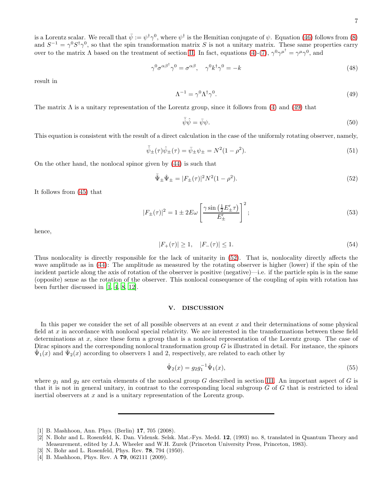is a Lorentz scalar. We recall that  $\bar{\psi} := \psi^{\dagger} \gamma^0$ , where  $\psi^{\dagger}$  is the Hemitian conjugate of  $\psi$ . Equation [\(46\)](#page-5-3) follows from [\(8\)](#page-1-1) and  $S^{-1} = \gamma^0 S^{\dagger} \gamma^0$ , so that the spin transformation matrix S is not a unitary matrix. These same properties carry over to the matrix  $\Lambda$  based on the treatment of section [II.](#page-1-0) In fact, equations [\(4\)](#page-1-3)-[\(7\)](#page-1-4),  $\gamma^0 \gamma^{\mu^{\dagger}} = \gamma^{\mu} \gamma^0$ , and

$$
\gamma^0 \sigma^{\alpha \beta^\dagger} \gamma^0 = \sigma^{\alpha \beta}, \quad \gamma^0 k^\dagger \gamma^0 = -k \tag{48}
$$

result in

<span id="page-6-5"></span>
$$
\Lambda^{-1} = \gamma^0 \Lambda^\dagger \gamma^0. \tag{49}
$$

The matrix  $\Lambda$  is a unitary representation of the Lorentz group, since it follows from [\(4\)](#page-1-3) and [\(49\)](#page-6-5) that

$$
\bar{\hat{\psi}}\hat{\psi} = \bar{\psi}\psi. \tag{50}
$$

This equation is consistent with the result of a direct calculation in the case of the uniformly rotating observer, namely,

$$
\bar{\psi}_{\pm}(\tau)\hat{\psi}_{\pm}(\tau) = \bar{\psi}_{\pm}\psi_{\pm} = N^2(1 - \rho^2). \tag{51}
$$

On the other hand, the nonlocal spinor given by [\(44\)](#page-5-4) is such that

<span id="page-6-6"></span>
$$
\tilde{\hat{\Psi}}_{\pm}\hat{\Psi}_{\pm} = |F_{\pm}(\tau)|^2 N^2 (1 - \rho^2). \tag{52}
$$

It follows from [\(45\)](#page-5-5) that

$$
|F_{\pm}(\tau)|^2 = 1 \pm 2E\omega \left[ \frac{\gamma \sin\left(\frac{1}{2}E'_{\pm}\tau\right)}{E'_{\pm}} \right]^2; \tag{53}
$$

hence,

$$
|F_+(\tau)| \ge 1, \quad |F_-(\tau)| \le 1. \tag{54}
$$

Thus nonlocality is directly responsible for the lack of unitarity in [\(52\)](#page-6-6). That is, nonlocality directly affects the wave amplitude as in [\(44\)](#page-5-4): The amplitude as measured by the rotating observer is higher (lower) if the spin of the incident particle along the axis of rotation of the observer is positive (negative)—i.e. if the particle spin is in the same (opposite) sense as the rotation of the observer. This nonlocal consequence of the coupling of spin with rotation has been further discussed in [\[1,](#page-6-0) [4,](#page-6-3) [8,](#page-7-3) [12\]](#page-7-7).

### <span id="page-6-4"></span>V. DISCUSSION

In this paper we consider the set of all possible observers at an event  $x$  and their determinations of some physical field at x in accordance with nonlocal special relativity. We are interested in the transformations between these field determinations at x, since these form a group that is a nonlocal representation of the Lorentz group. The case of Dirac spinors and the corresponding nonlocal transformation group  $G$  is illustrated in detail. For instance, the spinors  $\hat{\Psi}_1(x)$  and  $\hat{\Psi}_2(x)$  according to observers 1 and 2, respectively, are related to each other by

$$
\hat{\Psi}_2(x) = g_2 g_1^{-1} \hat{\Psi}_1(x),\tag{55}
$$

where  $g_1$  and  $g_2$  are certain elements of the nonlocal group G described in section [III.](#page-3-0) An important aspect of G is that it is not in general unitary, in contrast to the corresponding local subgroup  $\bar{G}$  of G that is restricted to ideal inertial observers at  $x$  and is a unitary representation of the Lorentz group.

<span id="page-6-0"></span>[1] B. Mashhoon, Ann. Phys. (Berlin) 17, 705 (2008).

- <span id="page-6-2"></span>[3] N. Bohr and L. Rosenfeld, Phys. Rev. 78, 794 (1950).
- <span id="page-6-3"></span>[4] B. Mashhoon, Phys. Rev. A **79**, 062111 (2009).

<span id="page-6-1"></span><sup>[2]</sup> N. Bohr and L. Rosenfeld, K. Dan. Vidensk. Selsk. Mat.-Fys. Medd. 12, (1993) no. 8, translated in Quantum Theory and Measurement, edited by J.A. Wheeler and W.H. Zurek (Princeton University Press, Princeton, 1983).